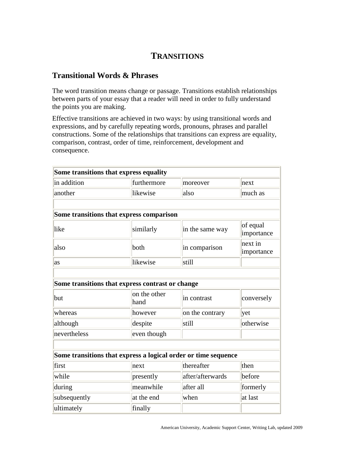## **TRANSITIONS**

## **Transitional Words & Phrases**

The word transition means change or passage. Transitions establish relationships between parts of your essay that a reader will need in order to fully understand the points you are making.

Effective transitions are achieved in two ways: by using transitional words and expressions, and by carefully repeating words, pronouns, phrases and parallel constructions. Some of the relationships that transitions can express are equality, comparison, contrast, order of time, reinforcement, development and consequence.

| Some transitions that express equality                         |                      |                  |                        |  |  |
|----------------------------------------------------------------|----------------------|------------------|------------------------|--|--|
| in addition                                                    | furthermore          | moreover         | next                   |  |  |
| another                                                        | likewise             | also             | much as                |  |  |
|                                                                |                      |                  |                        |  |  |
| Some transitions that express comparison                       |                      |                  |                        |  |  |
| like                                                           | similarly            | in the same way  | of equal<br>importance |  |  |
| also                                                           | both                 | in comparison    | next in<br>importance  |  |  |
| as                                                             | likewise             | still            |                        |  |  |
|                                                                |                      |                  |                        |  |  |
| Some transitions that express contrast or change               |                      |                  |                        |  |  |
| but                                                            | on the other<br>hand | in contrast      | conversely             |  |  |
| whereas                                                        | however              | on the contrary  | yet                    |  |  |
| although                                                       | despite              | still            | otherwise              |  |  |
| nevertheless                                                   | even though          |                  |                        |  |  |
|                                                                |                      |                  |                        |  |  |
| Some transitions that express a logical order or time sequence |                      |                  |                        |  |  |
| first                                                          | next                 | thereafter       | then                   |  |  |
| while                                                          | presently            | after/afterwards | before                 |  |  |
| during                                                         | meanwhile            | after all        | formerly               |  |  |
| subsequently                                                   | at the end           | when             | at last                |  |  |
| ultimately                                                     | finally              |                  |                        |  |  |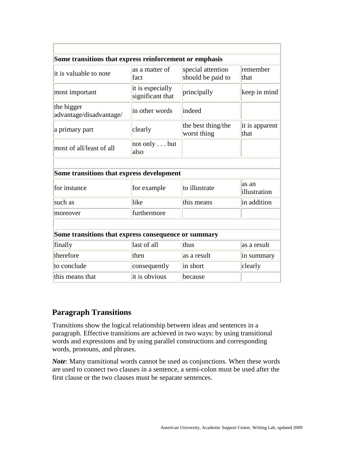| Some transitions that express reinforcement or emphasis |                                      |                                        |                        |  |  |
|---------------------------------------------------------|--------------------------------------|----------------------------------------|------------------------|--|--|
| it is valuable to note                                  | as a matter of<br>fact               | special attention<br>should be paid to | remember<br>that       |  |  |
| most important                                          | it is especially<br>significant that | principally                            | keep in mind           |  |  |
| the bigger<br>advantage/disadvantage/                   | in other words                       | indeed                                 |                        |  |  |
| a primary part                                          | clearly                              | the best thing/the<br>worst thing      | it is apparent<br>that |  |  |
| most of all/least of all                                | not only but<br>also                 |                                        |                        |  |  |
|                                                         |                                      |                                        |                        |  |  |
| Some transitions that express development               |                                      |                                        |                        |  |  |
| for instance                                            | for example                          | to illustrate                          | as an<br>illustration  |  |  |
| such as                                                 | like                                 | this means                             | in addition            |  |  |
| moreover                                                | furthermore                          |                                        |                        |  |  |
|                                                         |                                      |                                        |                        |  |  |
| Some transitions that express consequence or summary    |                                      |                                        |                        |  |  |
| finally                                                 | last of all                          | thus                                   | as a result            |  |  |
| therefore                                               | then                                 | as a result                            | in summary             |  |  |
| to conclude                                             | consequently                         | in short                               | clearly                |  |  |
| this means that                                         | it is obvious                        | because                                |                        |  |  |

## **Paragraph Transitions**

Transitions show the logical relationship between ideas and sentences in a paragraph. Effective transitions are achieved in two ways: by using transitional words and expressions and by using parallel constructions and corresponding words, pronouns, and phrases.

*Note*: Many transitional words cannot be used as conjunctions. When these words are used to connect two clauses in a sentence, a semi-colon must be used after the first clause or the two clauses must be separate sentences.